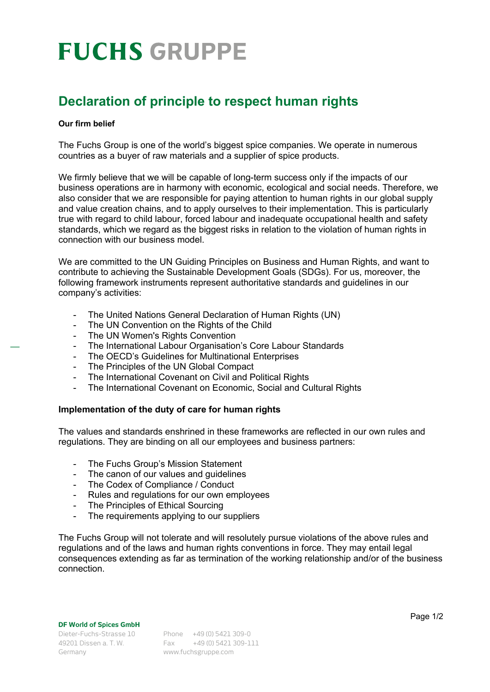# **FUCHS GRUPPE**

### **Declaration of principle to respect human rights**

#### **Our firm belief**

The Fuchs Group is one of the world's biggest spice companies. We operate in numerous countries as a buyer of raw materials and a supplier of spice products.

We firmly believe that we will be capable of long-term success only if the impacts of our business operations are in harmony with economic, ecological and social needs. Therefore, we also consider that we are responsible for paying attention to human rights in our global supply and value creation chains, and to apply ourselves to their implementation. This is particularly true with regard to child labour, forced labour and inadequate occupational health and safety standards, which we regard as the biggest risks in relation to the violation of human rights in connection with our business model.

We are committed to the UN Guiding Principles on Business and Human Rights, and want to contribute to achieving the Sustainable Development Goals (SDGs). For us, moreover, the following framework instruments represent authoritative standards and guidelines in our company's activities:

- The United Nations General Declaration of Human Rights (UN)
- The UN Convention on the Rights of the Child
- The UN Women's Rights Convention
- The International Labour Organisation's Core Labour Standards
- The OECD's Guidelines for Multinational Enterprises
- The Principles of the UN Global Compact
- The International Covenant on Civil and Political Rights
- The International Covenant on Economic, Social and Cultural Rights

### **Implementation of the duty of care for human rights**

The values and standards enshrined in these frameworks are reflected in our own rules and regulations. They are binding on all our employees and business partners:

- The Fuchs Group's Mission Statement
- The canon of our values and quidelines
- The Codex of Compliance / Conduct
- Rules and regulations for our own employees
- The Principles of Ethical Sourcing
- The requirements applying to our suppliers

The Fuchs Group will not tolerate and will resolutely pursue violations of the above rules and regulations and of the laws and human rights conventions in force. They may entail legal consequences extending as far as termination of the working relationship and/or of the business connection.

#### **DF World of Spices GmbH**

Germany www.fuchsgruppe.com

Dieter-Fuchs-Strasse 10 Phone +49 (0) 5421 309-0 49201 Dissen a. T. W. Fax +49 (0) 5421 309-111 Page 1/2